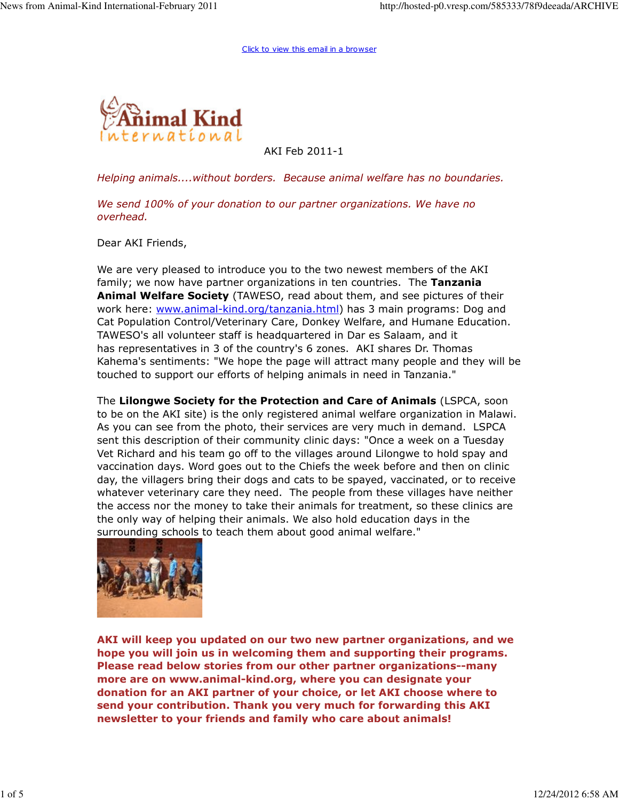

AKI Feb 2011-1

Helping animals....without borders. Because animal welfare has no boundaries.

We send 100% of your donation to our partner organizations. We have no overhead.

Dear AKI Friends,

We are very pleased to introduce you to the two newest members of the AKI family; we now have partner organizations in ten countries. The Tanzania Animal Welfare Society (TAWESO, read about them, and see pictures of their work here: www.animal-kind.org/tanzania.html) has 3 main programs: Dog and Cat Population Control/Veterinary Care, Donkey Welfare, and Humane Education. TAWESO's all volunteer staff is headquartered in Dar es Salaam, and it has representatives in 3 of the country's 6 zones. AKI shares Dr. Thomas Kahema's sentiments: "We hope the page will attract many people and they will be touched to support our efforts of helping animals in need in Tanzania."

The Lilongwe Society for the Protection and Care of Animals (LSPCA, soon to be on the AKI site) is the only registered animal welfare organization in Malawi. As you can see from the photo, their services are very much in demand. LSPCA sent this description of their community clinic days: "Once a week on a Tuesday Vet Richard and his team go off to the villages around Lilongwe to hold spay and vaccination days. Word goes out to the Chiefs the week before and then on clinic day, the villagers bring their dogs and cats to be spayed, vaccinated, or to receive whatever veterinary care they need. The people from these villages have neither the access nor the money to take their animals for treatment, so these clinics are the only way of helping their animals. We also hold education days in the surrounding schools to teach them about good animal welfare."



AKI will keep you updated on our two new partner organizations, and we hope you will join us in welcoming them and supporting their programs. Please read below stories from our other partner organizations--many more are on www.animal-kind.org, where you can designate your donation for an AKI partner of your choice, or let AKI choose where to send your contribution. Thank you very much for forwarding this AKI newsletter to your friends and family who care about animals!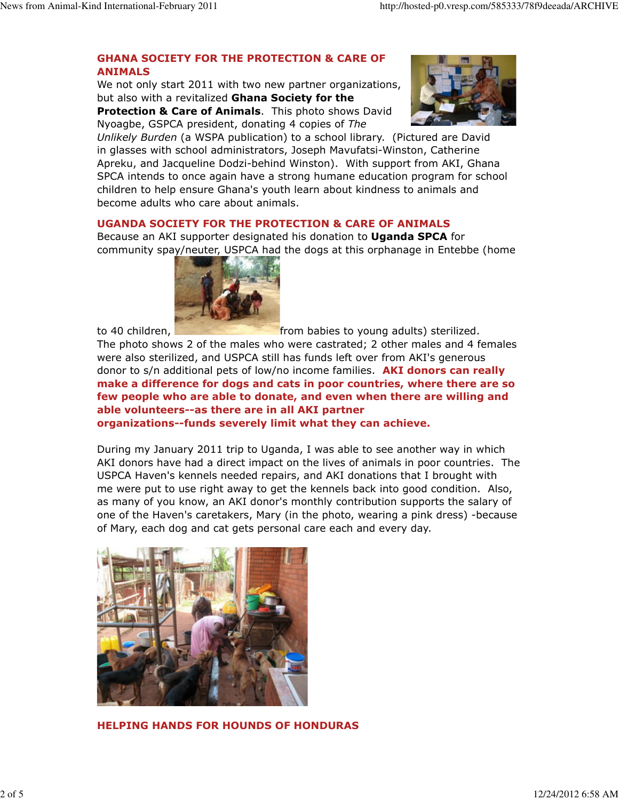# GHANA SOCIETY FOR THE PROTECTION & CARE OF ANIMALS

We not only start 2011 with two new partner organizations, but also with a revitalized Ghana Society for the Protection & Care of Animals. This photo shows David Nyoagbe, GSPCA president, donating 4 copies of The



Unlikely Burden (a WSPA publication) to a school library. (Pictured are David in glasses with school administrators, Joseph Mavufatsi-Winston, Catherine Apreku, and Jacqueline Dodzi-behind Winston). With support from AKI, Ghana SPCA intends to once again have a strong humane education program for school children to help ensure Ghana's youth learn about kindness to animals and become adults who care about animals.

### UGANDA SOCIETY FOR THE PROTECTION & CARE OF ANIMALS

Because an AKI supporter designated his donation to **Uganda SPCA** for community spay/neuter, USPCA had the dogs at this orphanage in Entebbe (home



to 40 children, **from babies to young adults**) sterilized. The photo shows 2 of the males who were castrated; 2 other males and 4 females were also sterilized, and USPCA still has funds left over from AKI's generous donor to s/n additional pets of low/no income families. **AKI donors can really** make a difference for dogs and cats in poor countries, where there are so few people who are able to donate, and even when there are willing and able volunteers--as there are in all AKI partner organizations--funds severely limit what they can achieve.

During my January 2011 trip to Uganda, I was able to see another way in which AKI donors have had a direct impact on the lives of animals in poor countries. The USPCA Haven's kennels needed repairs, and AKI donations that I brought with me were put to use right away to get the kennels back into good condition. Also, as many of you know, an AKI donor's monthly contribution supports the salary of one of the Haven's caretakers, Mary (in the photo, wearing a pink dress) -because of Mary, each dog and cat gets personal care each and every day.



HELPING HANDS FOR HOUNDS OF HONDURAS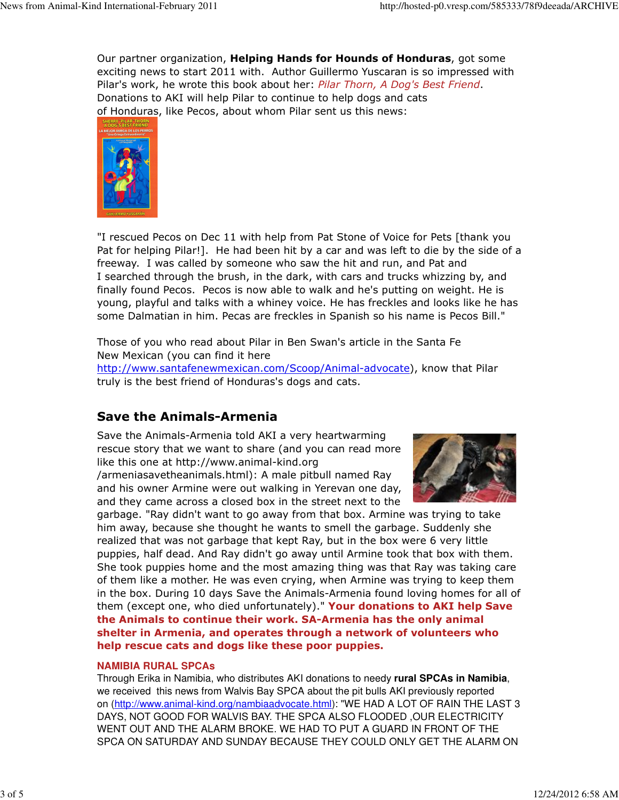Our partner organization, **Helping Hands for Hounds of Honduras**, got some exciting news to start 2011 with. Author Guillermo Yuscaran is so impressed with Pilar's work, he wrote this book about her: Pilar Thorn, A Dog's Best Friend. Donations to AKI will help Pilar to continue to help dogs and cats of Honduras, like Pecos, about whom Pilar sent us this news:



"I rescued Pecos on Dec 11 with help from Pat Stone of Voice for Pets [thank you Pat for helping Pilar!]. He had been hit by a car and was left to die by the side of a freeway. I was called by someone who saw the hit and run, and Pat and I searched through the brush, in the dark, with cars and trucks whizzing by, and finally found Pecos. Pecos is now able to walk and he's putting on weight. He is young, playful and talks with a whiney voice. He has freckles and looks like he has some Dalmatian in him. Pecas are freckles in Spanish so his name is Pecos Bill."

Those of you who read about Pilar in Ben Swan's article in the Santa Fe New Mexican (you can find it here http://www.santafenewmexican.com/Scoop/Animal-advocate), know that Pilar truly is the best friend of Honduras's dogs and cats.

# Save the Animals-Armenia

Save the Animals-Armenia told AKI a very heartwarming rescue story that we want to share (and you can read more like this one at http://www.animal-kind.org

/armeniasavetheanimals.html): A male pitbull named Ray and his owner Armine were out walking in Yerevan one day, and they came across a closed box in the street next to the



garbage. "Ray didn't want to go away from that box. Armine was trying to take him away, because she thought he wants to smell the garbage. Suddenly she realized that was not garbage that kept Ray, but in the box were 6 very little puppies, half dead. And Ray didn't go away until Armine took that box with them. She took puppies home and the most amazing thing was that Ray was taking care of them like a mother. He was even crying, when Armine was trying to keep them in the box. During 10 days Save the Animals-Armenia found loving homes for all of them (except one, who died unfortunately)." Your donations to AKI help Save the Animals to continue their work. SA-Armenia has the only animal shelter in Armenia, and operates through a network of volunteers who help rescue cats and dogs like these poor puppies.

#### **NAMIBIA RURAL SPCAs**

Through Erika in Namibia, who distributes AKI donations to needy **rural SPCAs in Namibia**, we received this news from Walvis Bay SPCA about the pit bulls AKI previously reported on (http://www.animal-kind.org/nambiaadvocate.html): "WE HAD A LOT OF RAIN THE LAST 3 DAYS, NOT GOOD FOR WALVIS BAY. THE SPCA ALSO FLOODED ,OUR ELECTRICITY WENT OUT AND THE ALARM BROKE. WE HAD TO PUT A GUARD IN FRONT OF THE SPCA ON SATURDAY AND SUNDAY BECAUSE THEY COULD ONLY GET THE ALARM ON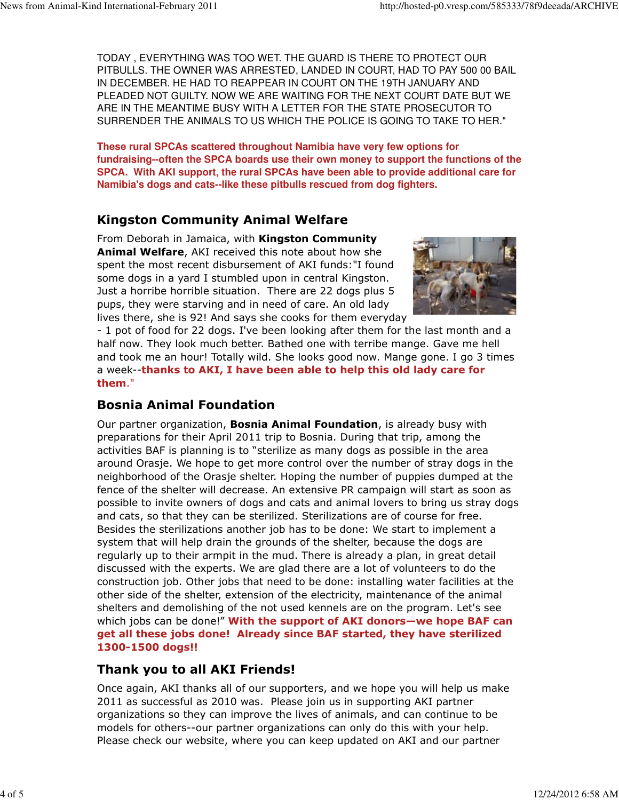TODAY , EVERYTHING WAS TOO WET. THE GUARD IS THERE TO PROTECT OUR PITBULLS. THE OWNER WAS ARRESTED, LANDED IN COURT, HAD TO PAY 500 00 BAIL IN DECEMBER. HE HAD TO REAPPEAR IN COURT ON THE 19TH JANUARY AND PLEADED NOT GUILTY. NOW WE ARE WAITING FOR THE NEXT COURT DATE BUT WE ARE IN THE MEANTIME BUSY WITH A LETTER FOR THE STATE PROSECUTOR TO SURRENDER THE ANIMALS TO US WHICH THE POLICE IS GOING TO TAKE TO HER."

**These rural SPCAs scattered throughout Namibia have very few options for fundraising--often the SPCA boards use their own money to support the functions of the SPCA. With AKI support, the rural SPCAs have been able to provide additional care for Namibia's dogs and cats--like these pitbulls rescued from dog fighters.** 

# Kingston Community Animal Welfare

From Deborah in Jamaica, with Kingston Community Animal Welfare, AKI received this note about how she spent the most recent disbursement of AKI funds:"I found some dogs in a yard I stumbled upon in central Kingston. Just a horribe horrible situation. There are 22 dogs plus 5 pups, they were starving and in need of care. An old lady lives there, she is 92! And says she cooks for them everyday



- 1 pot of food for 22 dogs. I've been looking after them for the last month and a half now. They look much better. Bathed one with terribe mange. Gave me hell and took me an hour! Totally wild. She looks good now. Mange gone. I go 3 times a week--thanks to AKI, I have been able to help this old lady care for them."

### Bosnia Animal Foundation

Our partner organization, **Bosnia Animal Foundation**, is already busy with preparations for their April 2011 trip to Bosnia. During that trip, among the activities BAF is planning is to "sterilize as many dogs as possible in the area around Orasje. We hope to get more control over the number of stray dogs in the neighborhood of the Orasje shelter. Hoping the number of puppies dumped at the fence of the shelter will decrease. An extensive PR campaign will start as soon as possible to invite owners of dogs and cats and animal lovers to bring us stray dogs and cats, so that they can be sterilized. Sterilizations are of course for free. Besides the sterilizations another job has to be done: We start to implement a system that will help drain the grounds of the shelter, because the dogs are regularly up to their armpit in the mud. There is already a plan, in great detail discussed with the experts. We are glad there are a lot of volunteers to do the construction job. Other jobs that need to be done: installing water facilities at the other side of the shelter, extension of the electricity, maintenance of the animal shelters and demolishing of the not used kennels are on the program. Let's see which jobs can be done!" With the support of AKI donors—we hope BAF can get all these jobs done! Already since BAF started, they have sterilized 1300-1500 dogs!!

# Thank you to all AKI Friends!

Once again, AKI thanks all of our supporters, and we hope you will help us make 2011 as successful as 2010 was. Please join us in supporting AKI partner organizations so they can improve the lives of animals, and can continue to be models for others--our partner organizations can only do this with your help. Please check our website, where you can keep updated on AKI and our partner